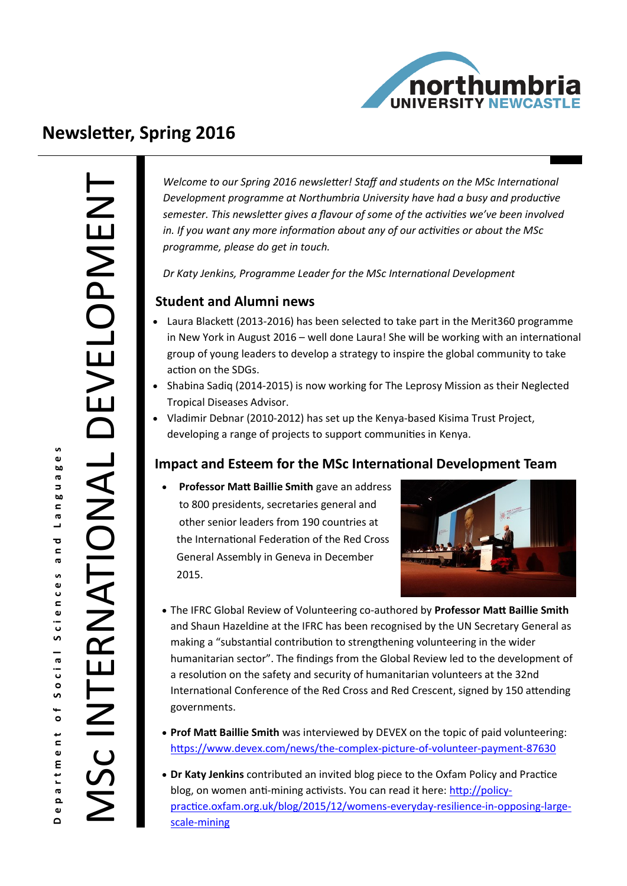

# **Newsletter, Spring 2016**

**i** 

ਰ<br>ਹ ര

ര

 $\Omega$ 

INTERNATIONAL DEVELOPMEN

*Welcome to our Spring 2016 newsletter! Staff and students on the MSc International Development programme at Northumbria University have had a busy and productive semester. This newsletter gives a flavour of some of the activities we've been involved in. If you want any more information about any of our activities or about the MSc programme, please do get in touch.* 

*Dr Katy Jenkins, Programme Leader for the MSc International Development*

### **Student and Alumni news**

- Laura Blackett (2013-2016) has been selected to take part in the Merit360 programme in New York in August 2016 – well done Laura! She will be working with an international group of young leaders to develop a strategy to inspire the global community to take action on the SDGs.
- Shabina Sadig (2014-2015) is now working for The Leprosy Mission as their Neglected Tropical Diseases Advisor.
- Vladimir Debnar (2010-2012) has set up the Kenya-based Kisima Trust Project, developing a range of projects to support communities in Kenya.

### **Impact and Esteem for the MSc International Development Team**

 **Professor Matt Baillie Smith** gave an address to 800 presidents, secretaries general and other senior leaders from 190 countries at the International Federation of the Red Cross General Assembly in Geneva in December 2015.



- The IFRC Global Review of Volunteering co-authored by **Professor Matt Baillie Smith**  and Shaun Hazeldine at the IFRC has been recognised by the UN Secretary General as making a "substantial contribution to strengthening volunteering in the wider humanitarian sector". The findings from the Global Review led to the development of a resolution on the safety and security of humanitarian volunteers at the 32nd International Conference of the Red Cross and Red Crescent, signed by 150 attending governments.
- **Prof Matt Baillie Smith** was interviewed by DEVEX on the topic of paid volunteering: [https://www.devex.com/news/the](https://www.devex.com/news/the-complex-picture-of-volunteer-payment-87630)-complex-picture-of-volunteer-payment-87630
- **Dr Katy Jenkins** contributed an invited blog piece to the Oxfam Policy and Practice blog, on women anti-mining activists. You can read it here: [http://policy](http://policy-practice.oxfam.org.uk/blog/2015/12/womens-everyday-resilience-in-opposing-large-scale-mining)[practice.oxfam.org.uk/blog/2015/12/womens](http://policy-practice.oxfam.org.uk/blog/2015/12/womens-everyday-resilience-in-opposing-large-scale-mining)-everyday-resilience-in-opposing-largescale-[mining](http://policy-practice.oxfam.org.uk/blog/2015/12/womens-everyday-resilience-in-opposing-large-scale-mining)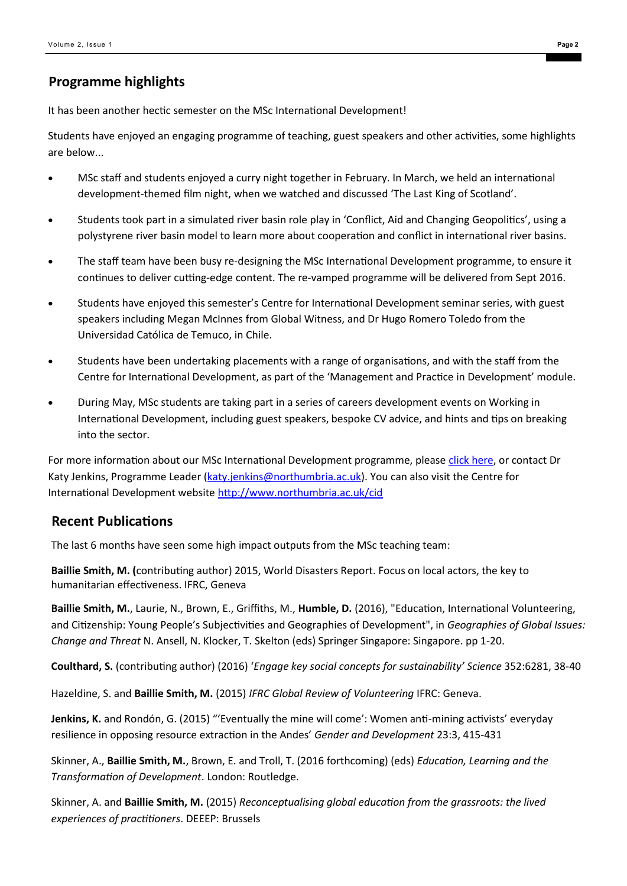## **Programme highlights**

It has been another hectic semester on the MSc International Development!

Students have enjoyed an engaging programme of teaching, guest speakers and other activities, some highlights are below...

- MSc staff and students enjoyed a curry night together in February. In March, we held an international development-themed film night, when we watched and discussed 'The Last King of Scotland'.
- Students took part in a simulated river basin role play in 'Conflict, Aid and Changing Geopolitics', using a polystyrene river basin model to learn more about cooperation and conflict in international river basins.
- The staff team have been busy re-designing the MSc International Development programme, to ensure it continues to deliver cutting-edge content. The re-vamped programme will be delivered from Sept 2016.
- Students have enjoyed this semester's Centre for International Development seminar series, with guest speakers including Megan McInnes from Global Witness, and Dr Hugo Romero Toledo from the Universidad Católica de Temuco, in Chile.
- Students have been undertaking placements with a range of organisations, and with the staff from the Centre for International Development, as part of the 'Management and Practice in Development' module.
- During May, MSc students are taking part in a series of careers development events on Working in International Development, including guest speakers, bespoke CV advice, and hints and tips on breaking into the sector.

For more information about our MSc International Development programme, please [click here,](https://www.northumbria.ac.uk/study-at-northumbria/courses/international-development-ft-dtfint6/) or contact Dr Katy Jenkins, Programme Leader ([katy.jenkins@northumbria.ac.uk\)](mailto:katy.jenkins@northumbria.ac.uk?subject=MSc%20ID%20Spring%202015%20Newsletter%20follow%20up). You can also visit the Centre for International Development website <http://www.northumbria.ac.uk/cid>

### **Recent Publications**

The last 6 months have seen some high impact outputs from the MSc teaching team:

**Baillie Smith, M. (**contributing author) 2015, World Disasters Report. Focus on local actors, the key to humanitarian effectiveness. IFRC, Geneva

**Baillie Smith, M.**, Laurie, N., Brown, E., Griffiths, M., **Humble, D.** (2016), "Education, International Volunteering, and Citizenship: Young People's Subjectivities and Geographies of Development", in *Geographies of Global Issues: Change and Threat* N. Ansell, N. Klocker, T. Skelton (eds) Springer Singapore: Singapore. pp 1-20.

**Coulthard, S.** (contributing author) (2016) '*Engage key social concepts for sustainability' Science* 352:6281, 38-40

Hazeldine, S. and **Baillie Smith, M.** (2015) *IFRC Global Review of Volunteering* IFRC: Geneva.

**Jenkins, K.** and Rondón, G. (2015) "'Eventually the mine will come': Women anti-mining activists' everyday resilience in opposing resource extraction in the Andes' *Gender and Development* 23:3, 415-431

Skinner, A., **Baillie Smith, M.**, Brown, E. and Troll, T. (2016 forthcoming) (eds) *Education, Learning and the Transformation of Development*. London: Routledge.

Skinner, A. and **Baillie Smith, M.** (2015) *Reconceptualising global education from the grassroots: the lived experiences of practitioners*. DEEEP: Brussels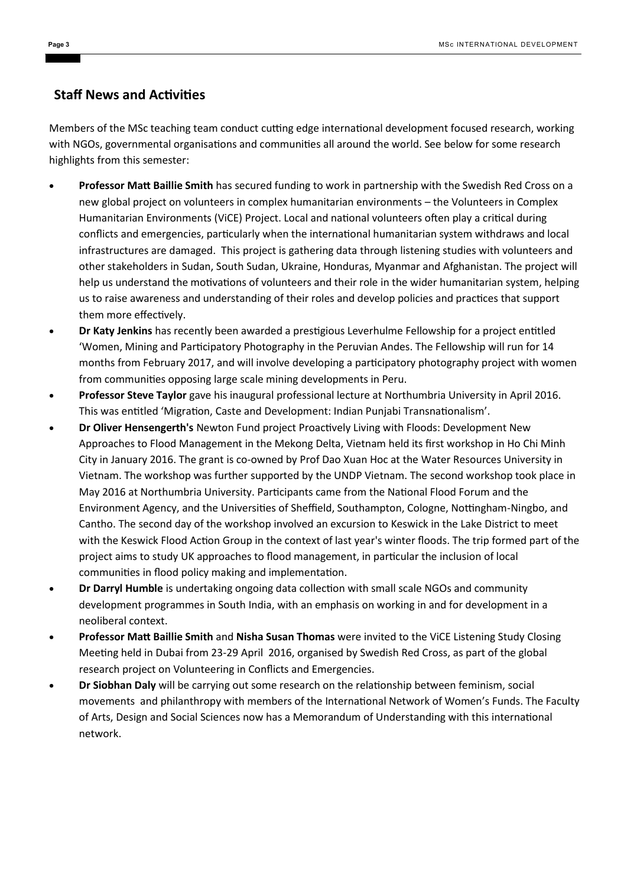#### **Staff News and Activities**

Members of the MSc teaching team conduct cutting edge international development focused research, working with NGOs, governmental organisations and communities all around the world. See below for some research highlights from this semester:

- **Professor Matt Baillie Smith** has secured funding to work in partnership with the Swedish Red Cross on a new global project on volunteers in complex humanitarian environments – the Volunteers in Complex Humanitarian Environments (ViCE) Project. Local and national volunteers often play a critical during conflicts and emergencies, particularly when the international humanitarian system withdraws and local infrastructures are damaged. This project is gathering data through listening studies with volunteers and other stakeholders in Sudan, South Sudan, Ukraine, Honduras, Myanmar and Afghanistan. The project will help us understand the motivations of volunteers and their role in the wider humanitarian system, helping us to raise awareness and understanding of their roles and develop policies and practices that support them more effectively.
- **Dr Katy Jenkins** has recently been awarded a prestigious Leverhulme Fellowship for a project entitled 'Women, Mining and Participatory Photography in the Peruvian Andes. The Fellowship will run for 14 months from February 2017, and will involve developing a participatory photography project with women from communities opposing large scale mining developments in Peru.
- **Professor Steve Taylor** gave his inaugural professional lecture at Northumbria University in April 2016. This was entitled 'Migration, Caste and Development: Indian Punjabi Transnationalism'.
- **Dr Oliver Hensengerth's** Newton Fund project Proactively Living with Floods: Development New Approaches to Flood Management in the Mekong Delta, Vietnam held its first workshop in Ho Chi Minh City in January 2016. The grant is co-owned by Prof Dao Xuan Hoc at the Water Resources University in Vietnam. The workshop was further supported by the UNDP Vietnam. The second workshop took place in May 2016 at Northumbria University. Participants came from the National Flood Forum and the Environment Agency, and the Universities of Sheffield, Southampton, Cologne, Nottingham-Ningbo, and Cantho. The second day of the workshop involved an excursion to Keswick in the Lake District to meet with the Keswick Flood Action Group in the context of last year's winter floods. The trip formed part of the project aims to study UK approaches to flood management, in particular the inclusion of local communities in flood policy making and implementation.
- **Dr Darryl Humble** is undertaking ongoing data collection with small scale NGOs and community development programmes in South India, with an emphasis on working in and for development in a neoliberal context.
- **Professor Matt Baillie Smith** and **Nisha Susan Thomas** were invited to the ViCE Listening Study Closing Meeting held in Dubai from 23-29 April 2016, organised by Swedish Red Cross, as part of the global research project on Volunteering in Conflicts and Emergencies.
- **Dr Siobhan Daly** will be carrying out some research on the relationship between feminism, social movements and philanthropy with members of the International Network of Women's Funds. The Faculty of Arts, Design and Social Sciences now has a Memorandum of Understanding with this international network.